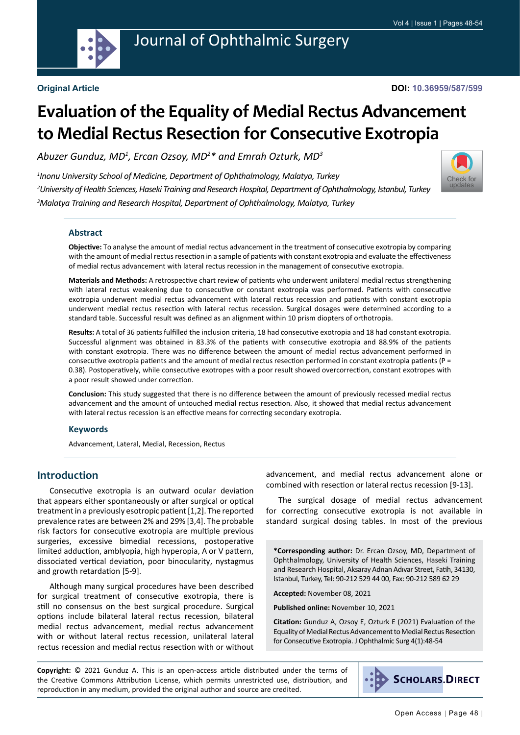

# Journal of Ophthalmic Surgery

#### **Original Article**

**DOI: 10.36959/587/599**

[Check for](http://crossmark.crossref.org/dialog/?doi=10.36959/587/599&domain=pdf) updates

# **Evaluation of the Equality of Medial Rectus Advancement to Medial Rectus Resection for Consecutive Exotropia**

*Abuzer Gunduz, MD1 , Ercan Ozsoy, MD2 \* and Emrah Ozturk, MD3*

*1 Inonu University School of Medicine, Department of Ophthalmology, Malatya, Turkey 2 University of Health Sciences, Haseki Training and Research Hospital, Department of Ophthalmology, Istanbul, Turkey 3 Malatya Training and Research Hospital, Department of Ophthalmology, Malatya, Turkey*



**Objective:** To analyse the amount of medial rectus advancement in the treatment of consecutive exotropia by comparing with the amount of medial rectus resection in a sample of patients with constant exotropia and evaluate the effectiveness of medial rectus advancement with lateral rectus recession in the management of consecutive exotropia.

**Materials and Methods:** A retrospective chart review of patients who underwent unilateral medial rectus strengthening with lateral rectus weakening due to consecutive or constant exotropia was performed. Patients with consecutive exotropia underwent medial rectus advancement with lateral rectus recession and patients with constant exotropia underwent medial rectus resection with lateral rectus recession. Surgical dosages were determined according to a standard table. Successful result was defined as an alignment within 10 prism diopters of orthotropia.

**Results:** A total of 36 patients fulfilled the inclusion criteria, 18 had consecutive exotropia and 18 had constant exotropia. Successful alignment was obtained in 83.3% of the patients with consecutive exotropia and 88.9% of the patients with constant exotropia. There was no difference between the amount of medial rectus advancement performed in consecutive exotropia patients and the amount of medial rectus resection performed in constant exotropia patients (P = 0.38). Postoperatively, while consecutive exotropes with a poor result showed overcorrection, constant exotropes with a poor result showed under correction.

**Conclusion:** This study suggested that there is no difference between the amount of previously recessed medial rectus advancement and the amount of untouched medial rectus resection. Also, it showed that medial rectus advancement with lateral rectus recession is an effective means for correcting secondary exotropia.

#### **Keywords**

Advancement, Lateral, Medial, Recession, Rectus

## **Introduction**

Consecutive exotropia is an outward ocular deviation that appears either spontaneously or after surgical or optical treatment in a previously esotropic patient [1,2]. The reported prevalence rates are between 2% and 29% [3,4]. The probable risk factors for consecutive exotropia are multiple previous surgeries, excessive bimedial recessions, postoperative limited adduction, amblyopia, high hyperopia, A or V pattern, dissociated vertical deviation, poor binocularity, nystagmus and growth retardation [5-9].

Although many surgical procedures have been described for surgical treatment of consecutive exotropia, there is still no consensus on the best surgical procedure. Surgical options include bilateral lateral rectus recession, bilateral medial rectus advancement, medial rectus advancement with or without lateral rectus recession, unilateral lateral rectus recession and medial rectus resection with or without

advancement, and medial rectus advancement alone or combined with resection or lateral rectus recession [9-13].

The surgical dosage of medial rectus advancement for correcting consecutive exotropia is not available in standard surgical dosing tables. In most of the previous

**\*Corresponding author:** Dr. Ercan Ozsoy, MD, Department of Ophthalmology, University of Health Sciences, Haseki Training and Research Hospital, Aksaray Adnan Adıvar Street, Fatih, 34130, Istanbul, Turkey, Tel: 90-212 529 44 00, Fax: 90-212 589 62 29

**Accepted:** November 08, 2021

**Published online:** November 10, 2021

**Citation:** Gunduz A, Ozsoy E, Ozturk E (2021) Evaluation of the Equality of Medial Rectus Advancement to Medial Rectus Resection for Consecutive Exotropia. J Ophthalmic Surg 4(1):48-54

**Copyright:** © 2021 Gunduz A. This is an open-access article distributed under the terms of the Creative Commons Attribution License, which permits unrestricted use, distribution, and reproduction in any medium, provided the original author and source are credited.

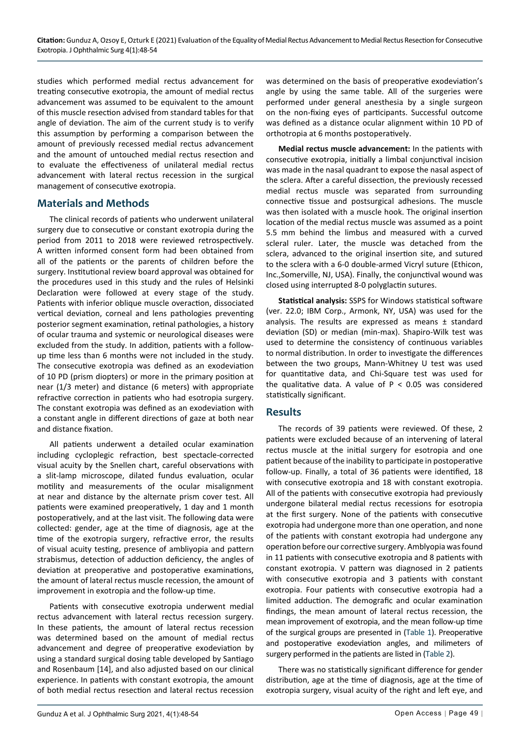studies which performed medial rectus advancement for treating consecutive exotropia, the amount of medial rectus advancement was assumed to be equivalent to the amount of this muscle resection advised from standard tables for that angle of deviation. The aim of the current study is to verify this assumption by performing a comparison between the amount of previously recessed medial rectus advancement and the amount of untouched medial rectus resection and to evaluate the effectiveness of unilateral medial rectus advancement with lateral rectus recession in the surgical management of consecutive exotropia.

### **Materials and Methods**

The clinical records of patients who underwent unilateral surgery due to consecutive or constant exotropia during the period from 2011 to 2018 were reviewed retrospectively. A written informed consent form had been obtained from all of the patients or the parents of children before the surgery. Institutional review board approval was obtained for the procedures used in this study and the rules of Helsinki Declaration were followed at every stage of the study. Patients with inferior oblique muscle overaction, dissociated vertical deviation, corneal and lens pathologies preventing posterior segment examination, retinal pathologies, a history of ocular trauma and systemic or neurological diseases were excluded from the study. In addition, patients with a followup time less than 6 months were not included in the study. The consecutive exotropia was defined as an exodeviation of 10 PD (prism diopters) or more in the primary position at near (1/3 meter) and distance (6 meters) with appropriate refractive correction in patients who had esotropia surgery. The constant exotropia was defined as an exodeviation with a constant angle in different directions of gaze at both near and distance fixation.

All patients underwent a detailed ocular examination including cycloplegic refraction, best spectacle-corrected visual acuity by the Snellen chart, careful observations with a slit-lamp microscope, dilated fundus evaluation, ocular motility and measurements of the ocular misalignment at near and distance by the alternate prism cover test. All patients were examined preoperatively, 1 day and 1 month postoperatively, and at the last visit. The following data were collected: gender, age at the time of diagnosis, age at the time of the exotropia surgery, refractive error, the results of visual acuity testing, presence of ambliyopia and pattern strabismus, detection of adduction deficiency, the angles of deviation at preoperative and postoperative examinations, the amount of lateral rectus muscle recession, the amount of improvement in exotropia and the follow-up time.

Patients with consecutive exotropia underwent medial rectus advancement with lateral rectus recession surgery. In these patients, the amount of lateral rectus recession was determined based on the amount of medial rectus advancement and degree of preoperative exodeviation by using a standard surgical dosing table developed by Santiago and Rosenbaum [14], and also adjusted based on our clinical experience. In patients with constant exotropia, the amount of both medial rectus resection and lateral rectus recession was determined on the basis of preoperative exodeviation's angle by using the same table. All of the surgeries were performed under general anesthesia by a single surgeon on the non-fixing eyes of participants. Successful outcome was defined as a distance ocular alignment within 10 PD of orthotropia at 6 months postoperatively.

**Medial rectus muscle advancement:** In the patients with consecutive exotropia, initially a limbal conjunctival incision was made in the nasal quadrant to expose the nasal aspect of the sclera. After a careful dissection, the previously recessed medial rectus muscle was separated from surrounding connective tissue and postsurgical adhesions. The muscle was then isolated with a muscle hook. The original insertion location of the medial rectus muscle was assumed as a point 5.5 mm behind the limbus and measured with a curved scleral ruler. Later, the muscle was detached from the sclera, advanced to the original insertion site, and sutured to the sclera with a 6-0 double-armed Vicryl suture (Ethicon, Inc.,Somerville, NJ, USA). Finally, the conjunctival wound was closed using interrupted 8-0 polyglactin sutures.

**Statistical analysis:** SSPS for Windows statistical software (ver. 22.0; IBM Corp., Armonk, NY, USA) was used for the analysis. The results are expressed as means ± standard deviation (SD) or median (min-max). Shapiro-Wilk test was used to determine the consistency of continuous variables to normal distribution. In order to investigate the differences between the two groups, Mann-Whitney U test was used for quantitative data, and Chi-Square test was used for the qualitative data. A value of  $P < 0.05$  was considered statistically significant.

### **Results**

The records of 39 patients were reviewed. Of these, 2 patients were excluded because of an intervening of lateral rectus muscle at the initial surgery for esotropia and one patient because of the inability to participate in postoperative follow-up. Finally, a total of 36 patients were identified, 18 with consecutive exotropia and 18 with constant exotropia. All of the patients with consecutive exotropia had previously undergone bilateral medial rectus recessions for esotropia at the first surgery. None of the patients with consecutive exotropia had undergone more than one operation, and none of the patients with constant exotropia had undergone any operation before our corrective surgery. Amblyopia was found in 11 patients with consecutive exotropia and 8 patients with constant exotropia. V pattern was diagnosed in 2 patients with consecutive exotropia and 3 patients with constant exotropia. Four patients with consecutive exotropia had a limited adduction. The demografic and ocular examination findings, the mean amount of lateral rectus recession, the mean improvement of exotropia, and the mean follow-up time of the surgical groups are presented in [\(Table 1](#page-2-0)). Preoperative and postoperative exodeviation angles, and milimeters of surgery performed in the patients are listed in [\(Table 2\)](#page-3-0).

There was no statistically significant difference for gender distribution, age at the time of diagnosis, age at the time of exotropia surgery, visual acuity of the right and left eye, and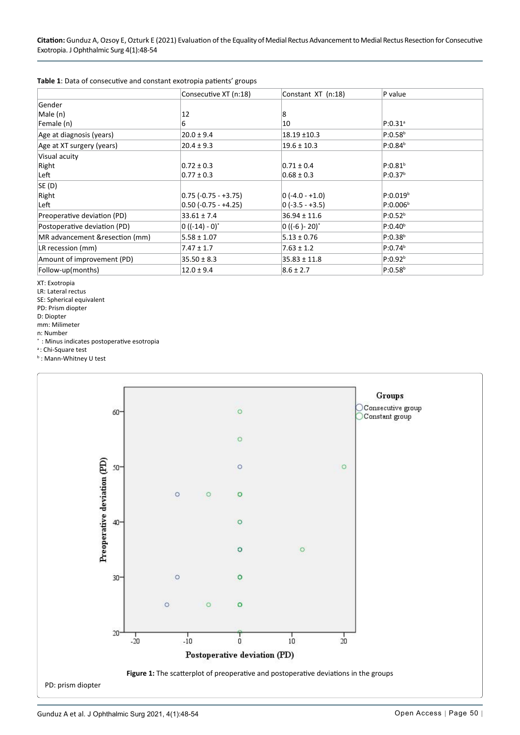<span id="page-2-0"></span>

| Table 1: Data of consecutive and constant exotropia patients' groups |  |  |
|----------------------------------------------------------------------|--|--|
|----------------------------------------------------------------------|--|--|

|                                 | Consecutive XT (n:18)  | Constant XT (n:18)           | P value              |
|---------------------------------|------------------------|------------------------------|----------------------|
| Gender                          |                        |                              |                      |
| Male (n)                        | 12                     | 8                            |                      |
| Female (n)                      | 6                      | 10                           | $P:0.31^{a}$         |
| Age at diagnosis (years)        | $20.0 \pm 9.4$         | 18.19 ±10.3                  | $P:0.58^{b}$         |
| Age at XT surgery (years)       | $20.4 \pm 9.3$         | $19.6 \pm 10.3$              | $P:0.84^{b}$         |
| Visual acuity                   |                        |                              |                      |
| Right                           | $0.72 \pm 0.3$         | $0.71 \pm 0.4$               | P:0.81 <sup>b</sup>  |
| Left                            | $0.77 \pm 0.3$         | $0.68 \pm 0.3$               | P:0.37 <sup>b</sup>  |
| SE (D)                          |                        |                              |                      |
| Right                           | $0.75$ (-0.75 - +3.75) | $ 0 (-4.0 - +1.0) $          | P:0.019 <sup>b</sup> |
| Left                            | $0.50$ (-0.75 - +4.25) | $ 0 (-3.5 - +3.5) $          | P:0.006 <sup>b</sup> |
| Preoperative deviation (PD)     | $33.61 \pm 7.4$        | $36.94 \pm 11.6$             | P:0.52 <sup>b</sup>  |
| Postoperative deviation (PD)    | $0 ((-14) - 0)^*$      | $0$ ((-6) - 20) <sup>*</sup> | $P:0.40^{b}$         |
| MR advancement & resection (mm) | $5.58 \pm 1.07$        | $5.13 \pm 0.76$              | $P:0.38^{b}$         |
| LR recession (mm)               | $7.47 \pm 1.7$         | $7.63 \pm 1.2$               | P:0.74 <sup>b</sup>  |
| Amount of improvement (PD)      | $35.50 \pm 8.3$        | $35.83 \pm 11.8$             | P:0.92 <sup>b</sup>  |
| Follow-up(months)               | $12.0 \pm 9.4$         | $8.6 \pm 2.7$                | $P:0.58^{b}$         |

XT: Exotropia

LR: Lateral rectus

SE: Spherical equivalent

PD: Prism diopter

D: Diopter

mm: Milimeter

n: Number

\* : Minus indicates postoperative esotropia

<sup>a</sup>: Chi-Square test

b : Mann-Whitney U test

<span id="page-2-1"></span>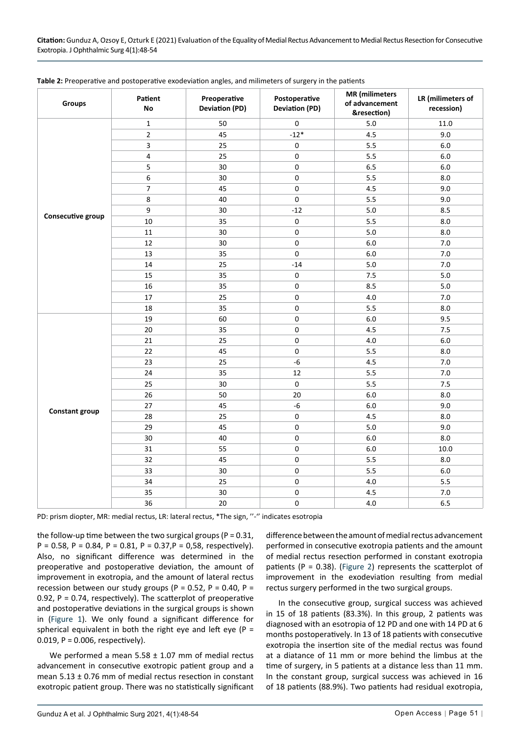| Groups                | Patient<br>No           | Preoperative<br><b>Deviation (PD)</b> | Postoperative<br><b>Deviation (PD)</b> | <b>MR</b> (milimeters<br>of advancement<br>&resection) | LR (milimeters of<br>recession) |
|-----------------------|-------------------------|---------------------------------------|----------------------------------------|--------------------------------------------------------|---------------------------------|
|                       | $\mathbf 1$             | 50                                    | $\pmb{0}$                              | 5.0                                                    | 11.0                            |
|                       | $\overline{2}$          | 45                                    | $-12*$                                 | 4.5                                                    | 9.0                             |
|                       | $\mathsf 3$             | 25                                    | $\pmb{0}$                              | 5.5                                                    | $6.0\,$                         |
|                       | $\overline{\mathbf{4}}$ | 25                                    | $\mathbf 0$                            | 5.5                                                    | $6.0\,$                         |
|                       | 5                       | 30                                    | $\pmb{0}$                              | $6.5\,$                                                | 6.0                             |
|                       | $\boldsymbol{6}$        | 30                                    | 0                                      | 5.5                                                    | 8.0                             |
|                       | $\overline{7}$          | 45                                    | 0                                      | 4.5                                                    | 9.0                             |
|                       | 8                       | 40                                    | 0                                      | 5.5                                                    | 9.0                             |
|                       | $\boldsymbol{9}$        | 30                                    | $-12$                                  | 5.0                                                    | 8.5                             |
| Consecutive group     | 10                      | 35                                    | $\pmb{0}$                              | 5.5                                                    | 8.0                             |
|                       | 11                      | 30                                    | $\pmb{0}$                              | 5.0                                                    | $8.0\,$                         |
|                       | 12                      | 30                                    | $\mathsf 0$                            | $6.0$                                                  | $7.0$                           |
|                       | 13                      | 35                                    | $\pmb{0}$                              | $6.0\,$                                                | 7.0                             |
|                       | $14\,$                  | 25                                    | $-14$                                  | 5.0                                                    | 7.0                             |
|                       | 15                      | 35                                    | $\pmb{0}$                              | 7.5                                                    | $5.0$                           |
|                       | 16                      | 35                                    | $\pmb{0}$                              | 8.5                                                    | $5.0$                           |
|                       | $17\,$                  | 25                                    | $\pmb{0}$                              | 4.0                                                    | 7.0                             |
|                       | $18\,$                  | 35                                    | $\mathsf 0$                            | 5.5                                                    | 8.0                             |
|                       | 19                      | 60                                    | 0                                      | $6.0\,$                                                | 9.5                             |
|                       | $20\,$                  | 35                                    | 0                                      | 4.5                                                    | 7.5                             |
| <b>Constant group</b> | 21                      | 25                                    | 0                                      | 4.0                                                    | $6.0\,$                         |
|                       | 22                      | 45                                    | 0                                      | 5.5                                                    | 8.0                             |
|                       | 23                      | 25                                    | $-6$                                   | 4.5                                                    | 7.0                             |
|                       | 24                      | 35                                    | 12                                     | 5.5                                                    | $7.0$                           |
|                       | 25                      | 30                                    | $\pmb{0}$                              | 5.5                                                    | 7.5                             |
|                       | 26                      | 50                                    | 20                                     | $6.0\,$                                                | $8.0\,$                         |
|                       | 27                      | 45                                    | $-6$                                   | $6.0$                                                  | 9.0                             |
|                       | 28                      | 25                                    | $\pmb{0}$                              | 4.5                                                    | 8.0                             |
|                       | 29                      | 45                                    | $\pmb{0}$                              | $5.0$                                                  | 9.0                             |
|                       | 30                      | 40                                    | $\mathbf 0$                            | $6.0$                                                  | 8.0                             |
|                       | 31                      | 55                                    | $\pmb{0}$                              | $6.0\,$                                                | 10.0                            |
|                       | 32                      | 45                                    | 0                                      | 5.5                                                    | $8.0\,$                         |
|                       | 33                      | 30                                    | 0                                      | 5.5                                                    | $6.0\,$                         |
|                       | 34                      | 25                                    | 0                                      | 4.0                                                    | 5.5                             |
|                       | 35                      | 30                                    | 0                                      | 4.5                                                    | $7.0\,$                         |
|                       | 36                      | 20                                    | 0                                      | 4.0                                                    | 6.5                             |

<span id="page-3-0"></span>**Table 2:** Preoperative and postoperative exodeviation angles, and milimeters of surgery in the patients

PD: prism diopter, MR: medial rectus, LR: lateral rectus, \*The sign, ''-'' indicates esotropia

the follow-up time between the two surgical groups ( $P = 0.31$ ,  $P = 0.58$ ,  $P = 0.84$ ,  $P = 0.81$ ,  $P = 0.37$ ,  $P = 0.58$ , respectively). Also, no significant difference was determined in the preoperative and postoperative deviation, the amount of improvement in exotropia, and the amount of lateral rectus recession between our study groups (P =  $0.52$ , P =  $0.40$ , P = 0.92, P = 0.74, respectively). The scatterplot of preoperative and postoperative deviations in the surgical groups is shown in [\(Figure 1\)](#page-2-1). We only found a significant difference for spherical equivalent in both the right eye and left eye ( $P =$ 0.019,  $P = 0.006$ , respectively).

We performed a mean  $5.58 \pm 1.07$  mm of medial rectus advancement in consecutive exotropic patient group and a mean 5.13 ± 0.76 mm of medial rectus resection in constant exotropic patient group. There was no statistically significant difference between the amount of medial rectus advancement performed in consecutive exotropia patients and the amount of medial rectus resection performed in constant exotropia patients (P = 0.38). ([Figure 2\)](#page-4-0) represents the scatterplot of improvement in the exodeviation resulting from medial rectus surgery performed in the two surgical groups.

In the consecutive group, surgical success was achieved in 15 of 18 patients (83.3%). In this group, 2 patients was diagnosed with an esotropia of 12 PD and one with 14 PD at 6 months postoperatively. In 13 of 18 patients with consecutive exotropia the insertion site of the medial rectus was found at a diatance of 11 mm or more behind the limbus at the time of surgery, in 5 patients at a distance less than 11 mm. In the constant group, surgical success was achieved in 16 of 18 patients (88.9%). Two patients had residual exotropia,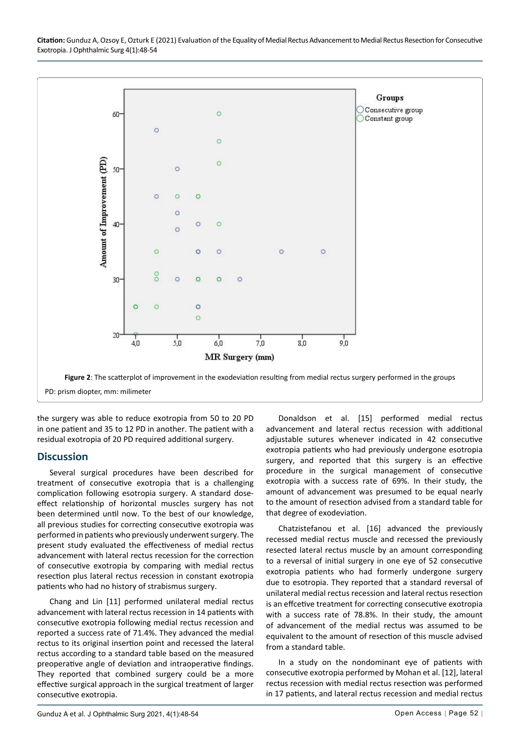<span id="page-4-0"></span>

the surgery was able to reduce exotropia from 50 to 20 PD in one patient and 35 to 12 PD in another. The patient with a residual exotropia of 20 PD required additional surgery.

### **Discussion**

Several surgical procedures have been described for treatment of consecutive exotropia that is a challenging complication following esotropia surgery. A standard doseeffect relationship of horizontal muscles surgery has not been determined until now. To the best of our knowledge, all previous studies for correcting consecutive exotropia was performed in patients who previously underwent surgery. The present study evaluated the effectiveness of medial rectus advancement with lateral rectus recession for the correction of consecutive exotropia by comparing with medial rectus resection plus lateral rectus recession in constant exotropia patients who had no history of strabismus surgery.

Chang and Lin [11] performed unilateral medial rectus advancement with lateral rectus recession in 14 patients with consecutive exotropia following medial rectus recession and reported a success rate of 71.4%. They advanced the medial rectus to its original insertion point and recessed the lateral rectus according to a standard table based on the measured preoperative angle of deviation and intraoperative findings. They reported that combined surgery could be a more effective surgical approach in the surgical treatment of larger consecutive exotropia.

Donaldson et al. [15] performed medial rectus advancement and lateral rectus recession with additional adjustable sutures whenever indicated in 42 consecutive exotropia patients who had previously undergone esotropia surgery, and reported that this surgery is an effective procedure in the surgical management of consecutive exotropia with a success rate of 69%. In their study, the amount of advancement was presumed to be equal nearly to the amount of resection advised from a standard table for that degree of exodeviation.

Chatzistefanou et al. [16] advanced the previously recessed medial rectus muscle and recessed the previously resected lateral rectus muscle by an amount corresponding to a reversal of initial surgery in one eye of 52 consecutive exotropia patients who had formerly undergone surgery due to esotropia. They reported that a standard reversal of unilateral medial rectus recession and lateral rectus resection is an effcetive treatment for correcting consecutive exotropia with a success rate of 78.8%. In their study, the amount of advancement of the medial rectus was assumed to be equivalent to the amount of resection of this muscle advised from a standard table.

In a study on the nondominant eye of patients with consecutive exotropia performed by Mohan et al. [12], lateral rectus recession with medial rectus resection was performed in 17 patients, and lateral rectus recession and medial rectus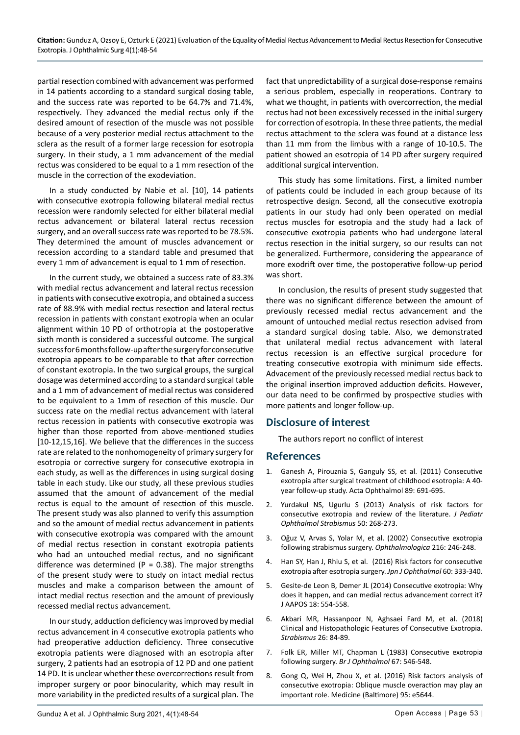partial resection combined with advancement was performed in 14 patients according to a standard surgical dosing table, and the success rate was reported to be 64.7% and 71.4%, respectively. They advanced the medial rectus only if the desired amount of resection of the muscle was not possible because of a very posterior medial rectus attachment to the sclera as the result of a former large recession for esotropia surgery. In their study, a 1 mm advancement of the medial rectus was considered to be equal to a 1 mm resection of the muscle in the correction of the exodeviation.

In a study conducted by Nabie et al. [10], 14 patients with consecutive exotropia following bilateral medial rectus recession were randomly selected for either bilateral medial rectus advancement or bilateral lateral rectus recession surgery, and an overall success rate was reported to be 78.5%. They determined the amount of muscles advancement or recession according to a standard table and presumed that every 1 mm of advancement is equal to 1 mm of resection.

In the current study, we obtained a success rate of 83.3% with medial rectus advancement and lateral rectus recession in patients with consecutive exotropia, and obtained a success rate of 88.9% with medial rectus resection and lateral rectus recession in patients with constant exotropia when an ocular alignment within 10 PD of orthotropia at the postoperative sixth month is considered a successful outcome. The surgical success for 6 months follow-up after the surgery for consecutive exotropia appears to be comparable to that after correction of constant exotropia. In the two surgical groups, the surgical dosage was determined according to a standard surgical table and a 1 mm of advancement of medial rectus was considered to be equivalent to a 1mm of resection of this muscle. Our success rate on the medial rectus advancement with lateral rectus recession in patients with consecutive exotropia was higher than those reported from above-mentioned studies [10-12,15,16]. We believe that the differences in the success rate are related to the nonhomogeneity of primary surgery for esotropia or corrective surgery for consecutive exotropia in each study, as well as the differences in using surgical dosing table in each study. Like our study, all these previous studies assumed that the amount of advancement of the medial rectus is equal to the amount of resection of this muscle. The present study was also planned to verify this assumption and so the amount of medial rectus advancement in patients with consecutive exotropia was compared with the amount of medial rectus resection in constant exotropia patients who had an untouched medial rectus, and no significant difference was determined ( $P = 0.38$ ). The major strengths of the present study were to study on intact medial rectus muscles and make a comparison between the amount of intact medial rectus resection and the amount of previously recessed medial rectus advancement.

In our study, adduction deficiency was improved by medial rectus advancement in 4 consecutive exotropia patients who had preoperative adduction deficiency. Three consecutive exotropia patients were diagnosed with an esotropia after surgery, 2 patients had an esotropia of 12 PD and one patient 14 PD. It is unclear whether these overcorrections result from improper surgery or poor binocularity, which may result in more variability in the predicted results of a surgical plan. The

fact that unpredictability of a surgical dose-response remains a serious problem, especially in reoperations. Contrary to what we thought, in patients with overcorrection, the medial rectus had not been excessively recessed in the initial surgery for correction of esotropia. In these three patients, the medial rectus attachment to the sclera was found at a distance less than 11 mm from the limbus with a range of 10-10.5. The patient showed an esotropia of 14 PD after surgery required additional surgical intervention.

This study has some limitations. First, a limited number of patients could be included in each group because of its retrospective design. Second, all the consecutive exotropia patients in our study had only been operated on medial rectus muscles for esotropia and the study had a lack of consecutive exotropia patients who had undergone lateral rectus resection in the initial surgery, so our results can not be generalized. Furthermore, considering the appearance of more exodrift over time, the postoperative follow-up period was short.

In conclusion, the results of present study suggested that there was no significant difference between the amount of previously recessed medial rectus advancement and the amount of untouched medial rectus resection advised from a standard surgical dosing table. Also, we demonstrated that unilateral medial rectus advancement with lateral rectus recession is an effective surgical procedure for treating consecutive exotropia with minimum side effects. Advacement of the previously recessed medial rectus back to the original insertion improved adduction deficits. However, our data need to be confirmed by prospective studies with more patients and longer follow-up.

### **Disclosure of interest**

The authors report no conflict of interest

#### **References**

- 1. [Ganesh A, Pirouznia S, Ganguly SS, et al. \(2011\) Consecutive](https://pubmed.ncbi.nlm.nih.gov/19925519/)  [exotropia after surgical treatment of childhood esotropia: A 40](https://pubmed.ncbi.nlm.nih.gov/19925519/) [year follow-up study. Acta Ophthalmol 89: 691-695.](https://pubmed.ncbi.nlm.nih.gov/19925519/)
- 2. Yurdakul NS, Ugurlu S (2013) Analysis of risk factors for consecutive exotropia and review of the literature. *J Pediatr Ophthalmol Strabismus* 50: 268-273.
- 3. [Oğuz V, Arvas S, Yolar M, et al. \(2002\) Consecutive](https://pubmed.ncbi.nlm.nih.gov/12207126/) exotropia following strabismus surgery. *[Ophthalmologica](https://pubmed.ncbi.nlm.nih.gov/12207126/)* 216: 246-248.
- 4. [Han SY, Han J, Rhiu S, et al. \(2016\) Risk factors for consecutive](https://pubmed.ncbi.nlm.nih.gov/27230032/)  [exotropia after esotropia surgery.](https://pubmed.ncbi.nlm.nih.gov/27230032/) *Jpn J Ophthalmol* 60: 333-340.
- 5. [Gesite-de Leon B, Demer JL \(2014\) Consecutive exotropia: Why](https://pubmed.ncbi.nlm.nih.gov/25454022/)  [does it happen, and can medial rectus advancement correct it?](https://pubmed.ncbi.nlm.nih.gov/25454022/)  [J AAPOS 18: 554-558.](https://pubmed.ncbi.nlm.nih.gov/25454022/)
- 6. [Akbari MR, Hassanpoor N, Aghsaei Fard M, et al. \(2018\)](https://pubmed.ncbi.nlm.nih.gov/29494263/)  [Clinical and Histopathologic Features of Consecutive Exotropia.](https://pubmed.ncbi.nlm.nih.gov/29494263/)  *[Strabismus](https://pubmed.ncbi.nlm.nih.gov/29494263/)* 26: 84-89.
- 7. [Folk ER, Miller MT, Chapman L \(1983\) Consecutive](https://pubmed.ncbi.nlm.nih.gov/6871147/) exotropia following surgery. *[Br J Ophthalmol](https://pubmed.ncbi.nlm.nih.gov/6871147/)* 67: 546-548.
- 8. [Gong Q, Wei H, Zhou X, et al. \(2016\) Risk factors analysis of](https://pubmed.ncbi.nlm.nih.gov/27977611/)  [consecutive exotropia: Oblique muscle overaction may play an](https://pubmed.ncbi.nlm.nih.gov/27977611/)  [important role. Medicine \(Baltimore\) 95: e5644.](https://pubmed.ncbi.nlm.nih.gov/27977611/)